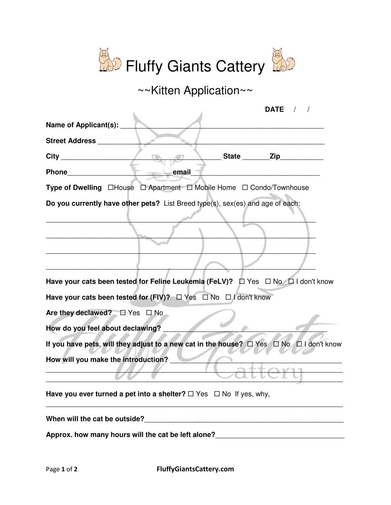

~~Kitten Application~~

| DATE $/$ /                                                                                             |  |
|--------------------------------------------------------------------------------------------------------|--|
| Name of Applicant(s): ____                                                                             |  |
| <b>Street Address</b>                                                                                  |  |
| __ State ________ Zip__________                                                                        |  |
| email                                                                                                  |  |
| Type of Dwelling □House □ Apartment □ Mobile Home □ Condo/Townhouse                                    |  |
| Do you currently have other pets? List Breed type(s), sex(es) and age of each:                         |  |
|                                                                                                        |  |
| Have your cats been tested for Feline Leukemia (FeLV)? $\Box$ Yes $\Box$ No $\Box$ I don't know        |  |
| Have your cats been tested for (FIV)? $\Box$ Yes $\Box$ No $\Box$ I don't know                         |  |
| Are they declawed? $\square$ Yes $\square$ No                                                          |  |
| How do you feel about declawing?                                                                       |  |
| If you have pets, will they adjust to a new cat in the house? $\Box$ Yes $\Box$ No $\Box$ I don't know |  |
| How will you make the introduction?                                                                    |  |
| Have you ever turned a pet into a shelter? $\Box$ Yes $\Box$ No If yes, why,                           |  |
| When will the cat be outside?<br><u> </u>                                                              |  |
| Approx. how many hours will the cat be left alone?                                                     |  |